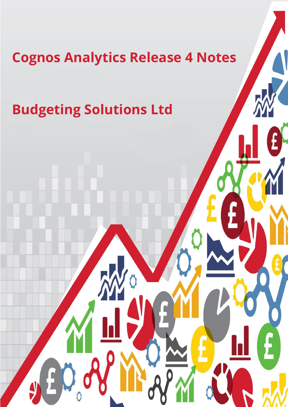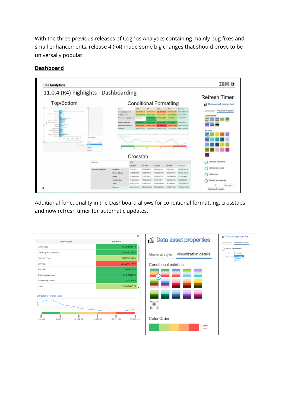With the three previous releases of Cognos Analytics containing mainly bug fixes and small enhancements, release 4 (R4) made some big changes that should prove to be universally popular.



## **Dashboard**

Additional functionality in the Dashboard allows for conditional formatting, crosstabs and now refresh timer for automatic updates.

| Product type                          | ▄<br>Revenue                              | <b>Data asset properties</b>           | <b>I</b> Data asset properties<br>General style Visualization details |
|---------------------------------------|-------------------------------------------|----------------------------------------|-----------------------------------------------------------------------|
| <b>Binoculars</b>                     | 31,303,208.42                             |                                        | Refresh automatically                                                 |
| <b>Climbing Accessories</b>           | 29,483,205.87                             | Visualization details<br>General style | 5<br>Seconds <sup>1</sup>                                             |
| Cooking Gear                          | 58,313,800.35                             |                                        | <b>Seconds</b><br>Minimum 5<br>Minutes<br>Hours                       |
| Eyewear                               | 221,939,948.93                            | Conditional palettes                   |                                                                       |
| First Aid                             | 846,984.93                                |                                        |                                                                       |
| Golf Accessories                      | 11,422,333.75                             |                                        |                                                                       |
| Insect Repellents                     | 2.062.062.11                              |                                        |                                                                       |
| Irons                                 | 63,606,666.75                             |                                        |                                                                       |
| <b>Distribution of Revenue values</b> |                                           |                                        |                                                                       |
|                                       |                                           | <u> 1999</u>                           |                                                                       |
| 846,984<br>45,065,577<br>89,284,170   | 177,721,356<br>221,939,949<br>133,502,763 | Color Order                            |                                                                       |
|                                       |                                           | 冒                                      |                                                                       |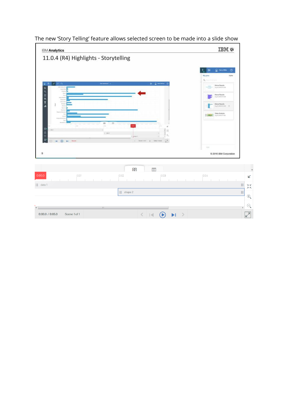| <b>IBM Analytics</b>                                                                 | <b>IBMO</b>                                                          |                                                      |
|--------------------------------------------------------------------------------------|----------------------------------------------------------------------|------------------------------------------------------|
| 11.0.4 (R4) Highlights - Storytelling                                                |                                                                      |                                                      |
|                                                                                      |                                                                      |                                                      |
|                                                                                      | C HaryMile<br>華<br><b>My pins</b>                                    | $\circ$<br>$4 \,\mu m$                               |
|                                                                                      | Ö,                                                                   |                                                      |
| 10 <sub>0</sub><br>because of a<br>×                                                 | $E = 2$ memoral $\theta$<br>Movie Feetdin<br>Aug Ni (2010 B.H. Fall) |                                                      |
| Q                                                                                    | Movie Results<br>Aug N 2010 E 15 MM                                  |                                                      |
| 三色工                                                                                  | Movie Results                                                        |                                                      |
| ah                                                                                   | Aug 50, 2010 S. D. AM                                                | $\mathcal{R}$                                        |
|                                                                                      | Sales Analysis<br>$ n$<br>$A_{12} = 300000000$                       |                                                      |
| ٠<br>雨<br>$rac{1}{1111}$                                                             |                                                                      |                                                      |
| 0063<br>٠<br>734<br>men.                                                             | $\overline{\phantom{a}}$<br>$\mathbb{Z}^\times$                      |                                                      |
| O <sub>F</sub> <sub>O</sub><br>$1 - \text{max} 1$<br>$2^{h(\mathbf{q})\mathbf{x}}$ ) | 戌                                                                    |                                                      |
| $\odot$ $\rightarrow$<br>14.<br>e.                                                   | 図<br>Southern y smartens                                             |                                                      |
|                                                                                      | AN                                                                   |                                                      |
|                                                                                      | @ 2016 IBM Corporation                                               |                                                      |
|                                                                                      |                                                                      |                                                      |
| 田                                                                                    | ⊞                                                                    |                                                      |
| 0:01<br>0:02                                                                         | 0:04<br>0:03                                                         |                                                      |
| $\  \$ data 1                                                                        |                                                                      | $\mathbb{H}$                                         |
| $\frac{1}{2}$ shape 2                                                                |                                                                      | $\begin{array}{c} \hline \end{array}$                |
|                                                                                      |                                                                      |                                                      |
| $\mathbb{H}$                                                                         |                                                                      | b.                                                   |
| $\leq$<br>0:00.0 / 0:05.0<br>Scene 1 of 1                                            | $\bigodot$<br>$\rightarrow$<br>$\blacktriangleright$                 | $\begin{array}{c} \boxed{\mathsf{K}} \\ \end{array}$ |

# The new 'Story Telling' feature allows selected screen to be made into a slide show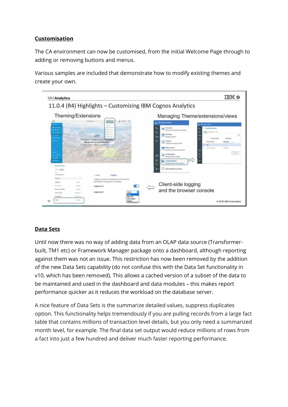### **Customisation**

The CA environment can now be customised, from the initial Welcome Page through to adding or removing buttons and menus.

Various samples are included that demonstrate how to modify existing themes and create your own.



# **Data Sets**

Until now there was no way of adding data from an OLAP data source (Transformerbuilt, TM1 etc) or Framework Manager package onto a dashboard, although reporting against them was not an issue. This restriction has now been removed by the addition of the new Data Sets capability (do not confuse this with the Data Set functionality in v10, which has been removed). This allows a cached version of a subset of the data to be maintained and used in the dashboard and data modules – this makes report performance quicker as it reduces the workload on the database server.

A nice feature of Data Sets is the summarize detailed values, suppress duplicates option. This functionality helps tremendously if you are pulling records from a large fact table that contains millions of transaction level details, but you only need a summarized month level, for example. The final data set output would reduce millions of rows from a fact into just a few hundred and deliver much faster reporting performance.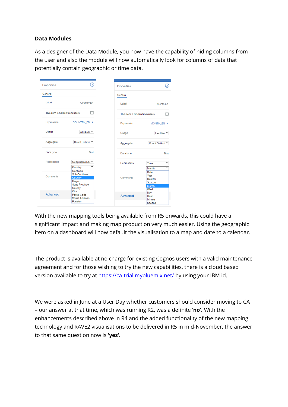#### **Data Modules**

As a designer of the Data Module, you now have the capability of hiding columns from the user and also the module will now automatically look for columns of data that potentially contain geographic or time data.

| Properties                     | ×                                                                            |
|--------------------------------|------------------------------------------------------------------------------|
| General                        |                                                                              |
| Label                          | <b>Country En</b>                                                            |
| This item is hidden from users |                                                                              |
| Expression                     | COUNTRY_EN >                                                                 |
| Usage                          | Attribute ▼                                                                  |
| Aggregate                      | Count Distinct <sup>v</sup>                                                  |
| Data type                      | Text                                                                         |
| Represents                     | Geographic Loc <sup>v</sup><br>Country<br>۳<br>Continent                     |
| Comments                       | <b>Sub Continent</b><br>Country<br>Reaion<br><b>State Province</b><br>County |
| <b>Advanced</b>                | City<br>Postal Code<br><b>Street Address</b><br>Position                     |

With the new mapping tools being available from R5 onwards, this could have a significant impact and making map production very much easier. Using the geographic item on a dashboard will now default the visualisation to a map and date to a calendar.

The product is available at no charge for existing Cognos users with a valid maintenance agreement and for those wishing to try the new capabilities, there is a cloud based version available to try at<https://ca-trial.mybluemix.net/> by using your IBM id.

We were asked in June at a User Day whether customers should consider moving to CA – our answer at that time, which was running R2, was a definite '**no'.** With the enhancements described above in R4 and the added functionality of the new mapping technology and RAVE2 visualisations to be delivered in R5 in mid-November, the answer to that same question now is **'yes'.**